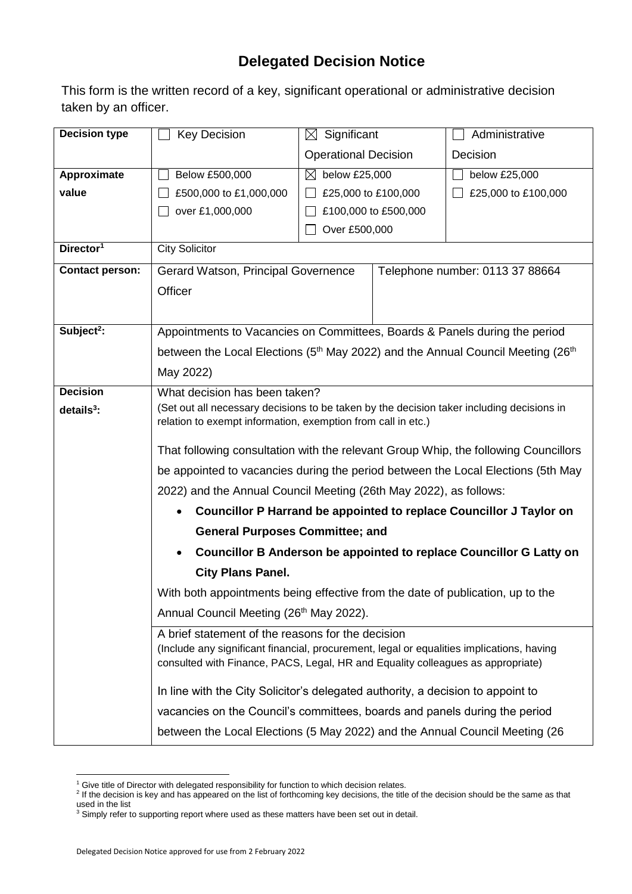## **Delegated Decision Notice**

This form is the written record of a key, significant operational or administrative decision taken by an officer.

| <b>Decision type</b>   | <b>Key Decision</b>                                                                              | $\boxtimes$ Significant                                                                                                                                                      |                      | Administrative                                                      |  |  |  |
|------------------------|--------------------------------------------------------------------------------------------------|------------------------------------------------------------------------------------------------------------------------------------------------------------------------------|----------------------|---------------------------------------------------------------------|--|--|--|
|                        |                                                                                                  | <b>Operational Decision</b>                                                                                                                                                  |                      | Decision                                                            |  |  |  |
| Approximate            | Below £500,000                                                                                   | $\boxtimes$<br>below £25,000                                                                                                                                                 |                      | below £25,000                                                       |  |  |  |
| value                  | £500,000 to £1,000,000                                                                           | £25,000 to £100,000                                                                                                                                                          |                      | £25,000 to £100,000                                                 |  |  |  |
|                        | over £1,000,000                                                                                  |                                                                                                                                                                              | £100,000 to £500,000 |                                                                     |  |  |  |
|                        |                                                                                                  | Over £500,000                                                                                                                                                                |                      |                                                                     |  |  |  |
| Director <sup>1</sup>  | <b>City Solicitor</b>                                                                            |                                                                                                                                                                              |                      |                                                                     |  |  |  |
| <b>Contact person:</b> | Gerard Watson, Principal Governence                                                              |                                                                                                                                                                              |                      | Telephone number: 0113 37 88664                                     |  |  |  |
|                        | Officer                                                                                          |                                                                                                                                                                              |                      |                                                                     |  |  |  |
|                        |                                                                                                  |                                                                                                                                                                              |                      |                                                                     |  |  |  |
| Subject <sup>2</sup> : | Appointments to Vacancies on Committees, Boards & Panels during the period                       |                                                                                                                                                                              |                      |                                                                     |  |  |  |
|                        | between the Local Elections ( $5th$ May 2022) and the Annual Council Meeting (26 <sup>th</sup> ) |                                                                                                                                                                              |                      |                                                                     |  |  |  |
|                        | May 2022)                                                                                        |                                                                                                                                                                              |                      |                                                                     |  |  |  |
| <b>Decision</b>        | What decision has been taken?                                                                    |                                                                                                                                                                              |                      |                                                                     |  |  |  |
| $details3$ :           | (Set out all necessary decisions to be taken by the decision taker including decisions in        |                                                                                                                                                                              |                      |                                                                     |  |  |  |
|                        | relation to exempt information, exemption from call in etc.)                                     |                                                                                                                                                                              |                      |                                                                     |  |  |  |
|                        | That following consultation with the relevant Group Whip, the following Councillors              |                                                                                                                                                                              |                      |                                                                     |  |  |  |
|                        | be appointed to vacancies during the period between the Local Elections (5th May                 |                                                                                                                                                                              |                      |                                                                     |  |  |  |
|                        | 2022) and the Annual Council Meeting (26th May 2022), as follows:                                |                                                                                                                                                                              |                      |                                                                     |  |  |  |
|                        | Councillor P Harrand be appointed to replace Councillor J Taylor on<br>$\bullet$                 |                                                                                                                                                                              |                      |                                                                     |  |  |  |
|                        | <b>General Purposes Committee; and</b>                                                           |                                                                                                                                                                              |                      |                                                                     |  |  |  |
|                        |                                                                                                  |                                                                                                                                                                              |                      | Councillor B Anderson be appointed to replace Councillor G Latty on |  |  |  |
|                        | <b>City Plans Panel.</b>                                                                         |                                                                                                                                                                              |                      |                                                                     |  |  |  |
|                        | With both appointments being effective from the date of publication, up to the                   |                                                                                                                                                                              |                      |                                                                     |  |  |  |
|                        | Annual Council Meeting (26 <sup>th</sup> May 2022).                                              |                                                                                                                                                                              |                      |                                                                     |  |  |  |
|                        | A brief statement of the reasons for the decision                                                |                                                                                                                                                                              |                      |                                                                     |  |  |  |
|                        |                                                                                                  | (Include any significant financial, procurement, legal or equalities implications, having<br>consulted with Finance, PACS, Legal, HR and Equality colleagues as appropriate) |                      |                                                                     |  |  |  |
|                        |                                                                                                  | In line with the City Solicitor's delegated authority, a decision to appoint to                                                                                              |                      |                                                                     |  |  |  |
|                        |                                                                                                  | vacancies on the Council's committees, boards and panels during the period                                                                                                   |                      |                                                                     |  |  |  |
|                        |                                                                                                  | between the Local Elections (5 May 2022) and the Annual Council Meeting (26                                                                                                  |                      |                                                                     |  |  |  |

<sup>1</sup> 

<sup>&</sup>lt;sup>1</sup> Give title of Director with delegated responsibility for function to which decision relates.<br><sup>2</sup> If the decision is key and has appeared on the list of forthcoming key decisions, the title of the decision should be the used in the list

 $3$  Simply refer to supporting report where used as these matters have been set out in detail.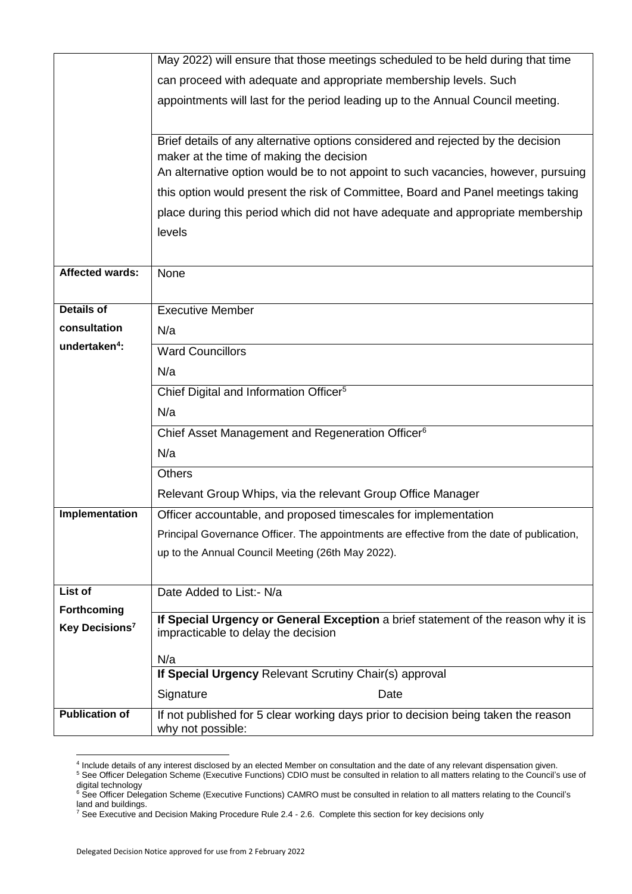|                            | May 2022) will ensure that those meetings scheduled to be held during that time            |  |  |  |  |  |
|----------------------------|--------------------------------------------------------------------------------------------|--|--|--|--|--|
|                            | can proceed with adequate and appropriate membership levels. Such                          |  |  |  |  |  |
|                            | appointments will last for the period leading up to the Annual Council meeting.            |  |  |  |  |  |
|                            |                                                                                            |  |  |  |  |  |
|                            | Brief details of any alternative options considered and rejected by the decision           |  |  |  |  |  |
|                            | maker at the time of making the decision                                                   |  |  |  |  |  |
|                            | An alternative option would be to not appoint to such vacancies, however, pursuing         |  |  |  |  |  |
|                            | this option would present the risk of Committee, Board and Panel meetings taking           |  |  |  |  |  |
|                            | place during this period which did not have adequate and appropriate membership            |  |  |  |  |  |
|                            | levels                                                                                     |  |  |  |  |  |
|                            |                                                                                            |  |  |  |  |  |
| <b>Affected wards:</b>     | None                                                                                       |  |  |  |  |  |
|                            |                                                                                            |  |  |  |  |  |
| <b>Details of</b>          | <b>Executive Member</b>                                                                    |  |  |  |  |  |
| consultation               | N/a                                                                                        |  |  |  |  |  |
| undertaken <sup>4</sup> :  | <b>Ward Councillors</b>                                                                    |  |  |  |  |  |
|                            | N/a                                                                                        |  |  |  |  |  |
|                            | Chief Digital and Information Officer <sup>5</sup>                                         |  |  |  |  |  |
|                            | N/a                                                                                        |  |  |  |  |  |
|                            | Chief Asset Management and Regeneration Officer <sup>6</sup>                               |  |  |  |  |  |
|                            | N/a                                                                                        |  |  |  |  |  |
|                            | <b>Others</b>                                                                              |  |  |  |  |  |
|                            | Relevant Group Whips, via the relevant Group Office Manager                                |  |  |  |  |  |
| Implementation             | Officer accountable, and proposed timescales for implementation                            |  |  |  |  |  |
|                            | Principal Governance Officer. The appointments are effective from the date of publication, |  |  |  |  |  |
|                            | up to the Annual Council Meeting (26th May 2022).                                          |  |  |  |  |  |
|                            |                                                                                            |  |  |  |  |  |
| List of                    | Date Added to List:- N/a                                                                   |  |  |  |  |  |
| Forthcoming                | If Special Urgency or General Exception a brief statement of the reason why it is          |  |  |  |  |  |
| Key Decisions <sup>7</sup> | impracticable to delay the decision                                                        |  |  |  |  |  |
|                            | N/a                                                                                        |  |  |  |  |  |
|                            | If Special Urgency Relevant Scrutiny Chair(s) approval                                     |  |  |  |  |  |
|                            | Signature<br>Date                                                                          |  |  |  |  |  |
| <b>Publication of</b>      | If not published for 5 clear working days prior to decision being taken the reason         |  |  |  |  |  |
|                            | why not possible:                                                                          |  |  |  |  |  |

 4 Include details of any interest disclosed by an elected Member on consultation and the date of any relevant dispensation given. <sup>5</sup> See Officer Delegation Scheme (Executive Functions) CDIO must be consulted in relation to all matters relating to the Council's use of digital technology

<sup>&</sup>lt;sup>6</sup> See Officer Delegation Scheme (Executive Functions) CAMRO must be consulted in relation to all matters relating to the Council's land and buildings.

<sup>&</sup>lt;sup>7</sup> See Executive and Decision Making Procedure Rule 2.4 - 2.6. Complete this section for key decisions only